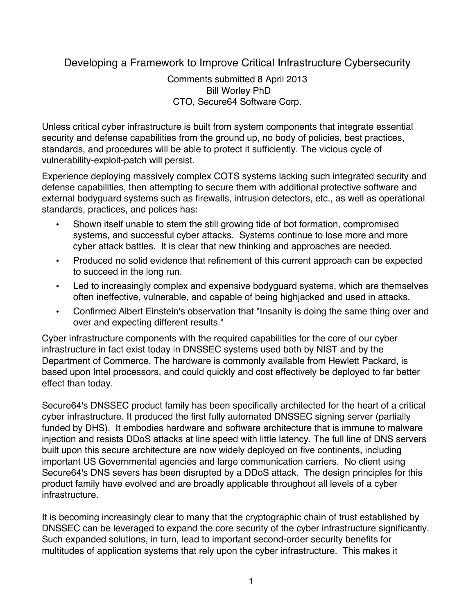Developing a Framework to Improve Critical Infrastructure Cybersecurity

 Comments submitted 8 April 2013 Bill Worley PhD CTO, Secure64 Software Corp.

 Unless critical cyber infrastructure is built from system components that integrate essential security and defense capabilities from the ground up, no body of policies, best practices, standards, and procedures will be able to protect it sufficiently. The vicious cycle of vulnerability-exploit-patch will persist.

 Experience deploying massively complex COTS systems lacking such integrated security and defense capabilities, then attempting to secure them with additional protective software and external bodyguard systems such as firewalls, intrusion detectors, etc., as well as operational standards, practices, and polices has:

- • Shown itself unable to stem the still growing tide of bot formation, compromised systems, and successful cyber attacks. Systems continue to lose more and more cyber attack battles. It is clear that new thinking and approaches are needed.
- Produced no solid evidence that refinement of this current approach can be expected to succeed in the long run.
- Led to increasingly complex and expensive bodyguard systems, which are themselves often ineffective, vulnerable, and capable of being highjacked and used in attacks.
- Confirmed Albert Einstein's observation that "Insanity is doing the same thing over and over and expecting different results."

 Cyber infrastructure components with the required capabilities for the core of our cyber infrastructure in fact exist today in DNSSEC systems used both by NIST and by the Department of Commerce. The hardware is commonly available from Hewlett Packard, is based upon Intel processors, and could quickly and cost effectively be deployed to far better effect than today.

 Secure64's DNSSEC product family has been specifically architected for the heart of a critical cyber infrastructure. It produced the first fully automated DNSSEC signing server (partially funded by DHS). It embodies hardware and software architecture that is immune to malware injection and resists DDoS attacks at line speed with little latency. The full line of DNS servers built upon this secure architecture are now widely deployed on five continents, including important US Governmental agencies and large communication carriers. No client using Secure64's DNS severs has been disrupted by a DDoS attack. The design principles for this product family have evolved and are broadly applicable throughout all levels of a cyber infrastructure.

 It is becoming increasingly clear to many that the cryptographic chain of trust established by DNSSEC can be leveraged to expand the core security of the cyber infrastructure significantly. Such expanded solutions, in turn, lead to important second-order security benefits for multitudes of application systems that rely upon the cyber infrastructure. This makes it